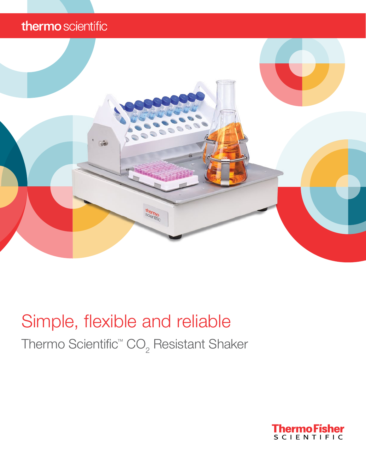# thermo scientific



# Simple, flexible and reliable

Thermo Scientific™ CO<sub>2</sub> Resistant Shaker

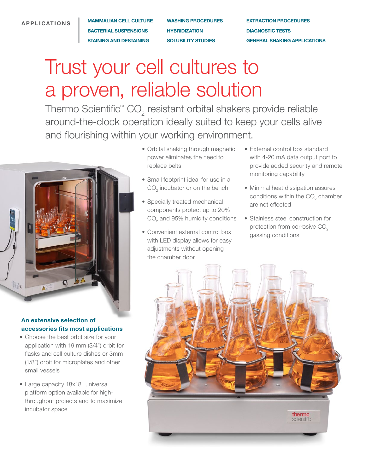#### APPLICATIONS

MAMMALIAN CELL CULTURE BACTERIAL SUSPENSIONS STAINING AND DESTAINING

WASHING PROCEDURES **HYBRIDIZATION** SOLUBILITY STUDIES

EXTRACTION PROCEDURES DIAGNOSTIC TESTS GENERAL SHAKING APPLICATIONS

# Trust your cell cultures to a proven, reliable solution

Thermo Scientific<sup>™</sup> CO<sub>2</sub> resistant orbital shakers provide reliable around-the-clock operation ideally suited to keep your cells alive and flourishing within your working environment.



### An extensive selection of accessories fits most applications

- Choose the best orbit size for your application with 19 mm (3/4") orbit for flasks and cell culture dishes or 3mm (1/8") orbit for microplates and other small vessels
- Large capacity 18x18" universal platform option available for highthroughput projects and to maximize incubator space
- Orbital shaking through magnetic power eliminates the need to replace belts
- Small footprint ideal for use in a  $\mathsf{CO}_2^{}$  incubator or on the bench
- Specially treated mechanical components protect up to 20%  $\mathrm{CO}_2^{}$  and 95% humidity conditions
- Convenient external control box with LED display allows for easy adjustments without opening the chamber door
- External control box standard with 4-20 mA data output port to provide added security and remote monitoring capability
- Minimal heat dissipation assures conditions within the  $\mathrm{CO}_2^{\phantom{\dag}}$  chamber are not effected
- Stainless steel construction for protection from corrosive CO<sub>2</sub> gassing conditions

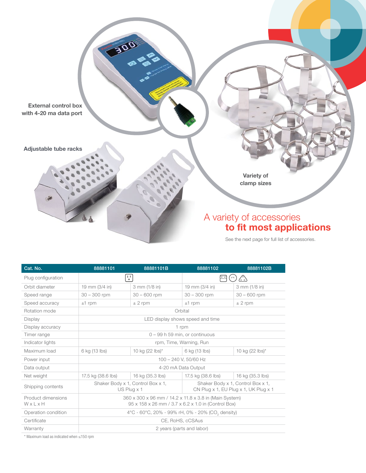

| Cat. No.                             | 88881101                                                                                                      | 88881101B                  | 88881102                                                                   | 88881102B                  |  |
|--------------------------------------|---------------------------------------------------------------------------------------------------------------|----------------------------|----------------------------------------------------------------------------|----------------------------|--|
| Plug configuration                   |                                                                                                               | $\frac{1}{2}$              |                                                                            |                            |  |
| Orbit diameter                       | 19 mm (3/4 in)                                                                                                | 3 mm (1/8 in)              | 19 mm (3/4 in)                                                             | 3 mm (1/8 in)              |  |
| Speed range                          | $30 - 300$ rpm                                                                                                | $30 - 600$ rpm             | $30 - 300$ rpm                                                             | $30 - 600$ rpm             |  |
| Speed accuracy                       | $±1$ rpm                                                                                                      | $± 2$ rpm                  | $±1$ rpm                                                                   | $± 2$ rpm                  |  |
| Rotation mode                        | Orbital                                                                                                       |                            |                                                                            |                            |  |
| Display                              | LED display shows speed and time                                                                              |                            |                                                                            |                            |  |
| Display accuracy                     | 1 rpm                                                                                                         |                            |                                                                            |                            |  |
| Timer range                          | $0 - 99$ h 59 min, or continuous                                                                              |                            |                                                                            |                            |  |
| Indicator lights                     | rpm, Time, Warning, Run                                                                                       |                            |                                                                            |                            |  |
| Maximum load                         | 6 kg (13 lbs)                                                                                                 | 10 kg $(22 \text{ lbs})^*$ | 6 kg (13 lbs)                                                              | 10 kg $(22 \text{ lbs})^*$ |  |
| Power input                          | 100 - 240 V, 50/60 Hz                                                                                         |                            |                                                                            |                            |  |
| Data output                          | 4-20 mA Data Output                                                                                           |                            |                                                                            |                            |  |
| Net weight                           | 17.5 kg (38.6 lbs)                                                                                            | 16 kg (35.3 lbs)           | 17.5 kg (38.6 lbs)                                                         | 16 kg (35.3 lbs)           |  |
| Shipping contents                    | Shaker Body x 1, Control Box x 1,<br>$US$ Plug $\times$ 1                                                     |                            | Shaker Body x 1, Control Box x 1,<br>CN Plug x 1, EU Plug x 1, UK Plug x 1 |                            |  |
| Product dimensions<br>WxLxH          | 360 x 300 x 96 mm / 14.2 x 11.8 x 3.8 in (Main System)<br>95 x 158 x 26 mm / 3.7 x 6.2 x 1.0 in (Control Box) |                            |                                                                            |                            |  |
| Operation condition                  | 4°C - 60°C, 20% - 99% rH, 0% - 20% (CO <sub>2</sub> density)                                                  |                            |                                                                            |                            |  |
| Certificate                          | CE. RoHS. cCSAus                                                                                              |                            |                                                                            |                            |  |
| Warranty                             | 2 years (parts and labor)                                                                                     |                            |                                                                            |                            |  |
| あきあい きんこうい おいい おいいきん けいけいけい おいこう はずめ |                                                                                                               |                            |                                                                            |                            |  |

\* Maximum load as indicated when ≤150 rpm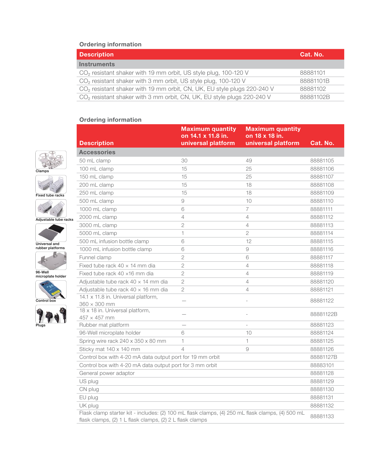#### Ordering information

| <b>Description</b>                                                                  | Cat. No.  |
|-------------------------------------------------------------------------------------|-----------|
| <b>Instruments</b>                                                                  |           |
| CO <sub>2</sub> resistant shaker with 19 mm orbit, US style plug, 100-120 V         | 88881101  |
| CO <sub>2</sub> resistant shaker with 3 mm orbit, US style plug, 100-120 V          | 88881101B |
| CO <sub>2</sub> resistant shaker with 19 mm orbit, CN, UK, EU style plugs 220-240 V | 88881102  |
| CO <sub>2</sub> resistant shaker with 3 mm orbit, CN, UK, EU style plugs 220-240 V  | 88881102B |

## Ordering information













96-Well microplate holder





| <b>Description</b>                                                                                                                                           | <b>Maximum quantity</b><br>on 14.1 x 11.8 in.<br>universal platform | <b>Maximum quantity</b><br>on 18 x 18 in.<br>universal platform | Cat. No.  |
|--------------------------------------------------------------------------------------------------------------------------------------------------------------|---------------------------------------------------------------------|-----------------------------------------------------------------|-----------|
| <b>Accessories</b>                                                                                                                                           |                                                                     |                                                                 |           |
| 50 mL clamp                                                                                                                                                  | 30                                                                  | 49                                                              | 88881105  |
| 100 mL clamp                                                                                                                                                 | 15                                                                  | 25                                                              | 88881106  |
| 150 mL clamp                                                                                                                                                 | 15                                                                  | 25                                                              | 88881107  |
| 200 mL clamp                                                                                                                                                 | 15                                                                  | 18                                                              | 88881108  |
| 250 mL clamp                                                                                                                                                 | 15                                                                  | 18                                                              | 88881109  |
| 500 mL clamp                                                                                                                                                 | 9                                                                   | 10                                                              | 88881110  |
| 1000 mL clamp                                                                                                                                                | 6                                                                   | $\overline{7}$                                                  | 88881111  |
| 2000 mL clamp                                                                                                                                                | 4                                                                   | 4                                                               | 88881112  |
| 3000 mL clamp                                                                                                                                                | $\overline{2}$                                                      | 4                                                               | 88881113  |
| 5000 mL clamp                                                                                                                                                | 1                                                                   | $\overline{2}$                                                  | 88881114  |
| 500 mL infusion bottle clamp                                                                                                                                 | 6                                                                   | 12                                                              | 88881115  |
| 1000 mL infusion bottle clamp                                                                                                                                | 6                                                                   | 9                                                               | 88881116  |
| Funnel clamp                                                                                                                                                 | $\overline{2}$                                                      | 6                                                               | 88881117  |
| Fixed tube rack $40 \times 14$ mm dia                                                                                                                        | $\overline{2}$                                                      | 4                                                               | 88881118  |
| Fixed tube rack 40 x16 mm dia                                                                                                                                | $\overline{2}$                                                      | $\overline{4}$                                                  | 88881119  |
| Adjustable tube rack $40 \times 14$ mm dia                                                                                                                   | $\overline{2}$                                                      | 4                                                               | 88881120  |
| Adjustable tube rack $40 \times 16$ mm dia                                                                                                                   | $\overline{2}$                                                      | $\overline{4}$                                                  | 88881121  |
| 14.1 x 11.8 in. Universal platform,                                                                                                                          |                                                                     |                                                                 | 88881122  |
| $360 \times 300$ mm<br>18 x 18 in. Universal platform,                                                                                                       |                                                                     |                                                                 |           |
| $457 \times 457$ mm                                                                                                                                          |                                                                     |                                                                 | 88881122B |
| Rubber mat platform                                                                                                                                          |                                                                     |                                                                 | 88881123  |
| 96-Well microplate holder                                                                                                                                    | 6                                                                   | 10                                                              | 88881124  |
| Spring wire rack 240 x 350 x 80 mm                                                                                                                           | 1                                                                   | 1                                                               | 88881125  |
| Sticky mat 140 x 140 mm                                                                                                                                      | $\overline{4}$                                                      | 9                                                               | 88881126  |
| Control box with 4-20 mA data output port for 19 mm orbit                                                                                                    |                                                                     |                                                                 | 88881127B |
| Control box with 4-20 mA data output port for 3 mm orbit                                                                                                     |                                                                     |                                                                 | 88883101  |
| General power adaptor                                                                                                                                        |                                                                     |                                                                 | 88881128  |
| US plug                                                                                                                                                      |                                                                     |                                                                 | 88881129  |
| CN plug                                                                                                                                                      |                                                                     |                                                                 | 88881130  |
| EU plug                                                                                                                                                      |                                                                     |                                                                 | 88881131  |
| UK plug                                                                                                                                                      |                                                                     |                                                                 | 88881132  |
| Flask clamp starter kit - includes: (2) 100 mL flask clamps, (4) 250 mL flask clamps, (4) 500 mL<br>flask clamps, (2) 1 L flask clamps, (2) 2 L flask clamps |                                                                     |                                                                 | 88881133  |